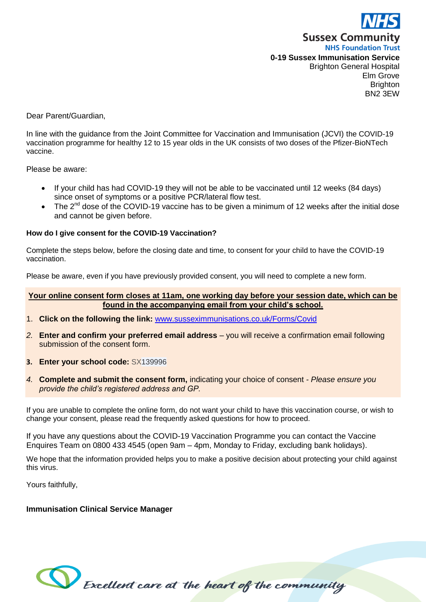

Dear Parent/Guardian,

In line with the guidance from the Joint Committee for Vaccination and Immunisation (JCVI) the COVID-19 vaccination programme for healthy 12 to 15 year olds in the UK consists of two doses of the Pfizer-BioNTech vaccine.

Please be aware:

- If your child has had COVID-19 they will not be able to be vaccinated until 12 weeks (84 days) since onset of symptoms or a positive PCR/lateral flow test.
- The  $2^{nd}$  dose of the COVID-19 vaccine has to be given a minimum of 12 weeks after the initial dose and cannot be given before.

#### **How do I give consent for the COVID-19 Vaccination?**

Complete the steps below, before the closing date and time, to consent for your child to have the COVID-19 vaccination.

Please be aware, even if you have previously provided consent, you will need to complete a new form.

#### **Your online consent form closes at 11am, one working day before your session date, which can be found in the accompanying email from your child's school.**

- 1. **Click on the following the link:** [www.susseximmunisations.co.uk/Forms/Covid](http://www.susseximmunisations.co.uk/Forms/Covid)
- *2.* **Enter and confirm your preferred email address** you will receive a confirmation email following submission of the consent form.
- **3. Enter your school code:** SX139996
- *4.* **Complete and submit the consent form,** indicating your choice of consent *- Please ensure you provide the child's registered address and GP.*

If you are unable to complete the online form, do not want your child to have this vaccination course, or wish to change your consent, please read the frequently asked questions for how to proceed.

If you have any questions about the COVID-19 Vaccination Programme you can contact the Vaccine Enquires Team on 0800 433 4545 (open 9am – 4pm, Monday to Friday, excluding bank holidays).

We hope that the information provided helps you to make a positive decision about protecting your child against this virus.

Yours faithfully,

#### **Immunisation Clinical Service Manager**